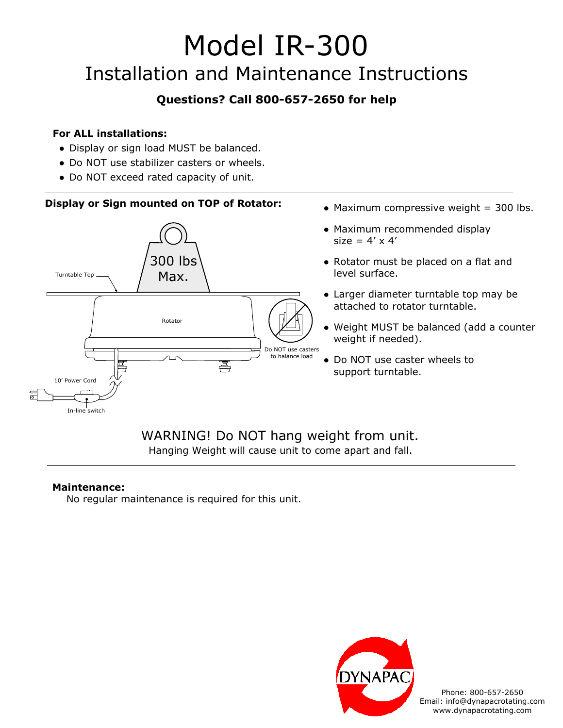# Model IR-300 Installation and Maintenance Instructions

## **Questions? Call 800-657-2650 for help**

#### **For ALL installations:**

- Display or sign load MUST be balanced.
- Do NOT use stabilizer casters or wheels.
- Do NOT exceed rated capacity of unit.

### **Display or Sign mounted on TOP of Rotator:**



# Hanging Weight will cause unit to come apart and fall.

#### **Maintenance:**

No regular maintenance is required for this unit.



Phone: 800-657-2650 Email: info@dynapacrotating.com www.dynapacrotating.com